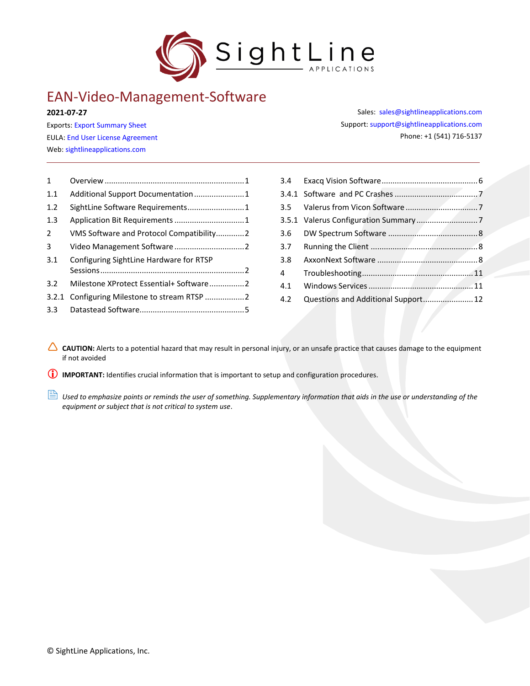

# EAN-Video-Management-Software

**2021-07-27**

Exports: [Export Summary Sheet](https://sightlineapplications.com/wp-content/uploads/Exports-Summary.pdf) EULA[: End User License Agreement](https://sightlineapplications.com/wp-content/uploads/SightLine-Product-License.pdf) Web[: sightlineapplications.com](http://sightlineapplications.com/support/software/)

| $\mathbf{1}$   |                                          |
|----------------|------------------------------------------|
| 1.1            |                                          |
| 1.2            | SightLine Software Requirements1         |
| 1.3            |                                          |
| $\overline{2}$ | VMS Software and Protocol Compatibility2 |
| 3              |                                          |
| 3.1            | Configuring SightLine Hardware for RTSP  |
|                |                                          |
| 3.2            | Milestone XProtect Essential+ Software2  |
| 3.2.1          | Configuring Milestone to stream RTSP 2   |
| $3.3 -$        |                                          |

| Sales: sales@sightlineapplications.com     |
|--------------------------------------------|
| Support: support@sightlineapplications.com |
| Phone: +1 (541) 716-5137                   |

| 3.7 |  |
|-----|--|
| 3.8 |  |
|     |  |
| 4.1 |  |
|     |  |

CAUTION: Alerts to a potential hazard that may result in personal injury, or an unsafe practice that causes damage to the equipment if not avoided

**IMPORTANT:** Identifies crucial information that is important to setup and configuration procedures.

 *Used to emphasize points or reminds the user of something. Supplementary information that aids in the use or understanding of the equipment or subject that is not critical to system use*.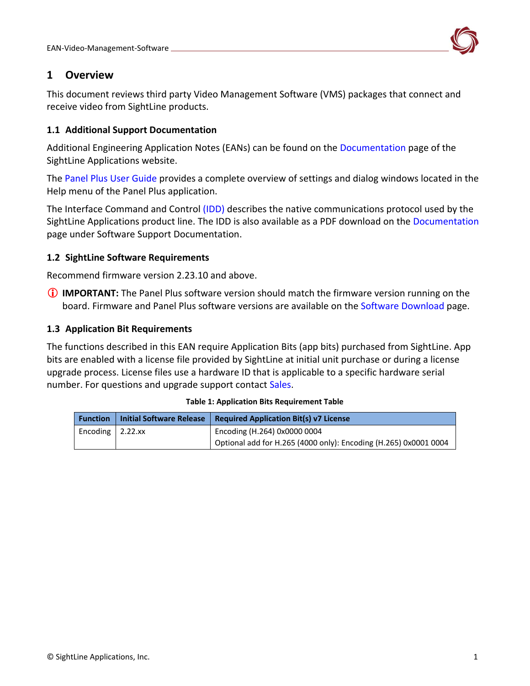

# <span id="page-1-0"></span>**1 Overview**

This document reviews third party Video Management Software (VMS) packages that connect and receive video from SightLine products.

# <span id="page-1-1"></span>**1.1 Additional Support Documentation**

Additional Engineering Application Notes (EANs) can be found on the [Documentation](https://sightlineapplications.com/documentation/) page of the SightLine Applications website.

The [Panel Plus User Guide](https://sightlineapplications.com/downloads/) provides a complete overview of settings and dialog windows located in the Help menu of the Panel Plus application.

The Interface Command and Control [\(IDD\)](http://sightlineapplications.com/idd/) describes the native communications protocol used by the SightLine Applications product line. The IDD is also available as a PDF download on the [Documentation](https://sightlineapplications.com/documentation/) page under Software Support Documentation.

# <span id="page-1-2"></span>**1.2 SightLine Software Requirements**

Recommend firmware version 2.23.10 and above.

**IMPORTANT:** The Panel Plus software version should match the firmware version running on the board. Firmware and Panel Plus software versions are available on the [Software Download](https://sightlineapplications.com/downloads/) page.

# <span id="page-1-3"></span>**1.3 Application Bit Requirements**

The functions described in this EAN require Application Bits (app bits) purchased from SightLine. App bits are enabled with a license file provided by SightLine at initial unit purchase or during a license upgrade process. License files use a hardware ID that is applicable to a specific hardware serial number. For questions and upgrade support contact [Sales.](mailto:sales@sightlineapplications.com)

| <b>Function</b>          | <b>Initial Software Release</b> | <b>Required Application Bit(s) v7 License</b>                    |
|--------------------------|---------------------------------|------------------------------------------------------------------|
| Encoding $\vert$ 2.22.xx |                                 | Encoding (H.264) 0x0000 0004                                     |
|                          |                                 | Optional add for H.265 (4000 only): Encoding (H.265) 0x0001 0004 |

#### **Table 1: Application Bits Requirement Table**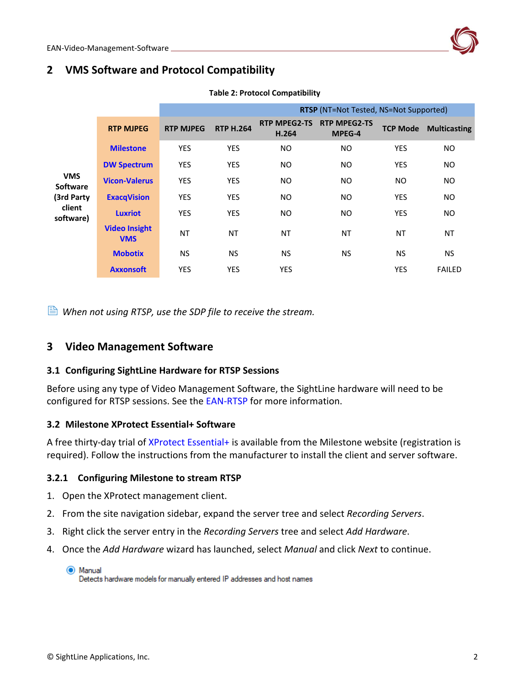# <span id="page-2-0"></span>**2 VMS Software and Protocol Compatibility**

| <b>RTP MJPEG</b>                   | <b>RTP MJPEG</b> | <b>RTP H.264</b> | <b>RTP MPEG2-TS</b><br>H.264 | <b>RTP MPEG2-TS</b><br>MPEG-4 | <b>TCP Mode</b> | <b>Multicasting</b>                           |
|------------------------------------|------------------|------------------|------------------------------|-------------------------------|-----------------|-----------------------------------------------|
| <b>Milestone</b>                   | <b>YES</b>       | <b>YES</b>       | NO.                          | NO.                           | <b>YES</b>      | NO.                                           |
| <b>DW Spectrum</b>                 | <b>YES</b>       | <b>YES</b>       | NO.                          | NO.                           | <b>YES</b>      | <b>NO</b>                                     |
| <b>Vicon-Valerus</b>               | <b>YES</b>       | <b>YES</b>       | NO.                          | NO.                           | NO.             | <b>NO</b>                                     |
| <b>ExacqVision</b>                 | <b>YES</b>       | <b>YES</b>       | NO.                          | NO.                           | <b>YES</b>      | <b>NO</b>                                     |
| <b>Luxriot</b><br>software)        | <b>YES</b>       | <b>YES</b>       | NO.                          | NO.                           | <b>YES</b>      | <b>NO</b>                                     |
| <b>Video Insight</b><br><b>VMS</b> | <b>NT</b>        | ΝT               | <b>NT</b>                    | NT                            | NT              | <b>NT</b>                                     |
| <b>Mobotix</b>                     | <b>NS</b>        | <b>NS</b>        | <b>NS</b>                    | <b>NS</b>                     | <b>NS</b>       | <b>NS</b>                                     |
| <b>Axxonsoft</b>                   | <b>YES</b>       | <b>YES</b>       | <b>YES</b>                   |                               | <b>YES</b>      | <b>FAILED</b>                                 |
|                                    |                  |                  |                              |                               |                 | <b>RTSP</b> (NT=Not Tested, NS=Not Supported) |

#### **Table 2: Protocol Compatibility**

 $\triangleq$  When not using RTSP, use the SDP file to receive the stream.

# <span id="page-2-1"></span>**3 Video Management Software**

# <span id="page-2-2"></span>**3.1 Configuring SightLine Hardware for RTSP Sessions**

Before using any type of Video Management Software, the SightLine hardware will need to be configured for RTSP sessions. See the [EAN-RTSP](http://sightlineapplications.com/wp-content/uploads/EAN-RTSP.pdf) for more information.

# <span id="page-2-3"></span>**3.2 Milestone XProtect Essential+ Software**

A free thirty-day trial of [XProtect Essential+](https://www.milestonesys.com/solutions/platform/try-our-software/) is available from the Milestone website (registration is required). Follow the instructions from the manufacturer to install the client and server software.

# <span id="page-2-4"></span>**3.2.1 Configuring Milestone to stream RTSP**

- 1. Open the XProtect management client.
- 2. From the site navigation sidebar, expand the server tree and select *Recording Servers*.
- 3. Right click the server entry in the *Recording Servers* tree and select *Add Hardware*.
- 4. Once the *Add Hardware* wizard has launched, select *Manual* and click *Next* to continue.

C Manual Detects hardware models for manually entered IP addresses and host names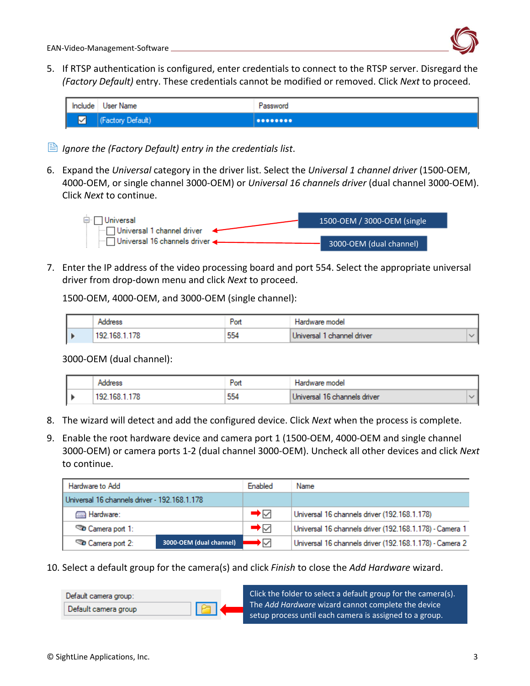

5. If RTSP authentication is configured, enter credentials to connect to the RTSP server. Disregard the *(Factory Default)* entry. These credentials cannot be modified or removed. Click *Next* to proceed.



- *Ignore the (Factory Default) entry in the credentials list*.
- 6. Expand the *Universal* category in the driver list. Select the *Universal 1 channel driver* (1500-OEM, 4000-OEM, or single channel 3000-OEM) or *Universal 16 channels driver* (dual channel 3000-OEM). Click *Next* to continue.

| ⊟∙∏Universal                      | 1500-OEM / 3000-OEM (single |
|-----------------------------------|-----------------------------|
| $\Box$ Universal 1 channel driver |                             |
| - Universal 16 channels driver ←  | 3000-OEM (dual channel)     |

7. Enter the IP address of the video processing board and port 554. Select the appropriate universal driver from drop-down menu and click *Next* to proceed.

1500-OEM, 4000-OEM, and 3000-OEM (single channel):

|                       | - on | model<br>וטומר              |  |
|-----------------------|------|-----------------------------|--|
| 192<br>1 <sub>b</sub> | 554  | channel driver<br>Universal |  |

3000-OEM (dual channel):

|    |     | P <sub>on</sub> | Hardware model               |  |
|----|-----|-----------------|------------------------------|--|
| I۱ | 192 | 554             | Universal 16 channels driver |  |

- 8. The wizard will detect and add the configured device. Click *Next* when the process is complete.
- 9. Enable the root hardware device and camera port 1 (1500-OEM, 4000-OEM and single channel 3000-OEM) or camera ports 1-2 (dual channel 3000-OEM). Uncheck all other devices and click *Next* to continue.

| Hardware to Add                              |                         | Enabled                       | Name                                                    |
|----------------------------------------------|-------------------------|-------------------------------|---------------------------------------------------------|
| Universal 16 channels driver - 192.168.1.178 |                         |                               |                                                         |
| <b>Read Hardware:</b>                        |                         | $\rightarrow$ $\vee$          | Universal 16 channels driver (192.168.1.178)            |
| Camera port 1:                               |                         | $\rightarrow$ $\triangledown$ | Universal 16 channels driver (192.168.1.178) - Camera 1 |
| Camera port 2:                               | 3000-OEM (dual channel) | ◆▽                            | Universal 16 channels driver (192.168.1.178) - Camera 2 |

10. Select a default group for the camera(s) and click *Finish* to close the *Add Hardware* wizard.

Click the folder to select a default group for the camera(s). Default camera group: The *Add Hardware* wizard cannot complete the device Default camera group setup process until each camera is assigned to a group.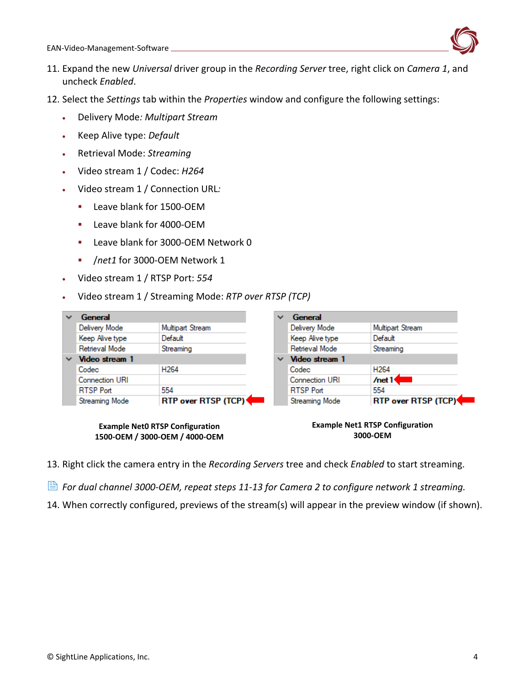

- 11. Expand the new *Universal* driver group in the *Recording Server* tree, right click on *Camera 1*, and uncheck *Enabled*.
- 12. Select the *Settings* tab within the *Properties* window and configure the following settings:
	- Delivery Mode*: Multipart Stream*
	- Keep Alive type: *Default*
	- Retrieval Mode: *Streaming*
	- Video stream 1 / Codec: *H264*
	- Video stream 1 / Connection URL*:*
		- Leave blank for 1500-OEM
		- Leave blank for 4000-OEM
		- **EXEC** Leave blank for 3000-OEM Network 0
		- /*net1* for 3000-OEM Network 1
	- Video stream 1 / RTSP Port: *554*
	- Video stream 1 / Streaming Mode: *RTP over RTSP (TCP)*

|   | General                                      |                  |  | v | General               |                     |  |  |  |  |
|---|----------------------------------------------|------------------|--|---|-----------------------|---------------------|--|--|--|--|
|   | Delivery Mode                                | Multipart Stream |  |   | Delivery Mode         | Multipart Stream    |  |  |  |  |
|   | Keep Alive type                              | Default          |  |   | Keep Alive type       | Default             |  |  |  |  |
|   | Retrieval Mode                               | Streaming        |  |   | Retrieval Mode        | Streaming           |  |  |  |  |
| v | Video stream 1                               |                  |  | v | Video stream 1        |                     |  |  |  |  |
|   | Codec                                        | H <sub>264</sub> |  |   | Codec                 | H <sub>264</sub>    |  |  |  |  |
|   | <b>Connection URI</b>                        |                  |  |   | <b>Connection URI</b> | /net1               |  |  |  |  |
|   | <b>RTSP Port</b>                             | 554              |  |   | <b>RTSP Port</b>      | 554                 |  |  |  |  |
|   | RTP over RTSP (TCP)<br><b>Streaming Mode</b> |                  |  |   | <b>Streaming Mode</b> | RTP over RTSP (TCP) |  |  |  |  |

**Example Net0 RTSP Configuration 1500-OEM / 3000-OEM / 4000-OEM** **Example Net1 RTSP Configuration 3000-OEM**

- 13. Right click the camera entry in the *Recording Servers* tree and check *Enabled* to start streaming.
- *For dual channel 3000-OEM, repeat steps 11-13 for Camera 2 to configure network 1 streaming.*
- 14. When correctly configured, previews of the stream(s) will appear in the preview window (if shown).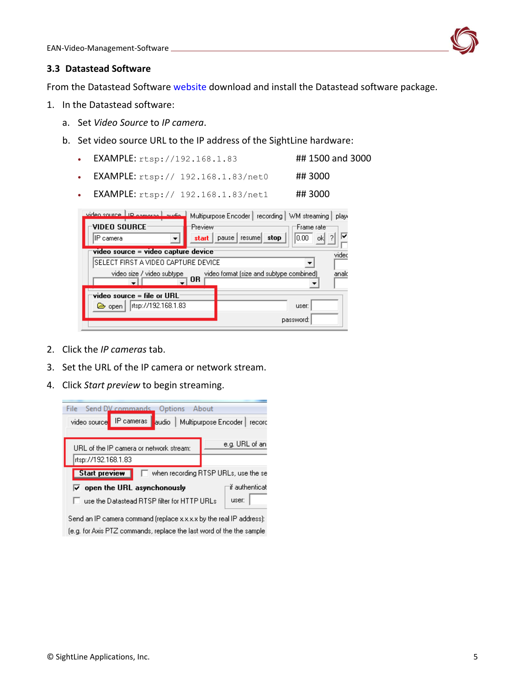

#### <span id="page-5-0"></span>**3.3 Datastead Software**

From the Datastead Software [website](http://www.datastead.com/products/rtsprtmpsrc.html) download and install the Datastead software package.

- 1. In the Datastead software:
	- a. Set *Video Source* to *IP camera*.
	- b. Set video source URL to the IP address of the SightLine hardware:
		- EXAMPLE:  $r \text{tsp}: / / 192.168.1.83$  ## 1500 and 3000
		- EXAMPLE: rtsp:// 192.168.1.83/net0 ## 3000
		- EXAMPLE: rtsp:// 192.168.1.83/net1 ## 3000

| video source LIP opporto Laudio<br>VIDEO SOURCE <sup>.</sup><br>IIP camera<br>▼ | Multipurpose Encoder   recording   WM streaming  <br>Preview<br>stop<br>resumel<br>$_{\text{pause}}$<br>start | play<br>'Frame rate'<br>10.00.<br>ok |
|---------------------------------------------------------------------------------|---------------------------------------------------------------------------------------------------------------|--------------------------------------|
| video source = video capture device<br>SELECT FIRST A VIDEO CAPTURE DEVICE      |                                                                                                               | video                                |
| video size / video subtype                                                      | video format (size and subtype combined)<br>0R                                                                | anald                                |
| video source = file or $\mathsf{URL}^+$<br>rtsp://192.168.1.83<br>liest open    |                                                                                                               | user:<br>password:                   |

- 2. Click the *IP cameras* tab.
- 3. Set the URL of the IP camera or network stream.
- 4. Click *Start preview* to begin streaming.



(e.g. for Axis PTZ commands, replace the last word of the the sample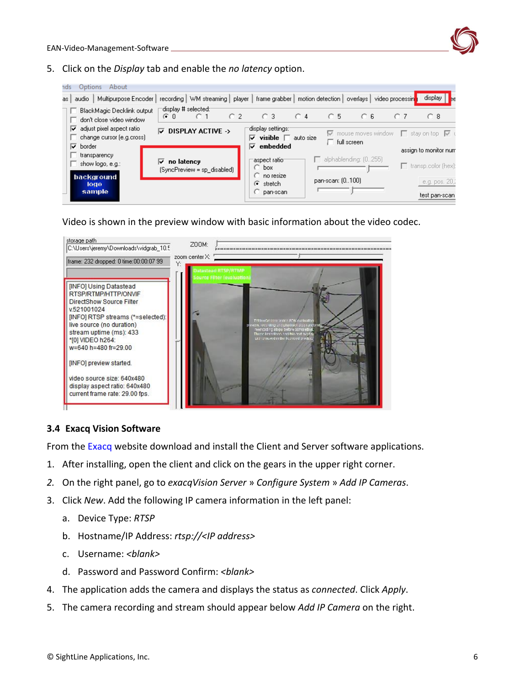

5. Click on the *Display* tab and enable the *no latency* option.

| ndsi | Options<br>About                                                           |                                                    |                |                                                               |              |           |                |                                                               |  |     |                                                     |
|------|----------------------------------------------------------------------------|----------------------------------------------------|----------------|---------------------------------------------------------------|--------------|-----------|----------------|---------------------------------------------------------------|--|-----|-----------------------------------------------------|
| as I | Multipurpose Encoder<br>audio                                              | recording   WM streaming   player                  |                | frame grabber   motion detection   overlays   video processin |              |           |                |                                                               |  |     | display  <br><b>Be</b>                              |
|      | BlackMagic Decklink output<br>don't close video window                     | display # selected:1<br>$\cap$ 1<br>G <sub>0</sub> | C <sub>2</sub> | $\bigcirc$ 3                                                  | $\bigcirc$ 4 |           | C <sub>5</sub> | C.6                                                           |  | 0.7 | $\bigcap$ 8                                         |
|      | adjust pixel aspect ratio<br>☞<br>change cursor (e.g.cross)<br>☞<br>border | $\nabla$ display active $\rightarrow$              |                | ∙display settings::<br>visible $\Box$<br>⊽<br>embedded<br>⊽   |              | auto size |                | $\overline{\nabla}$ mouse moves window<br>$\Box$ full screen. |  |     | $\Box$ stay on top $\triangledown$                  |
|      | transparency<br>show logo, e.g.:                                           | no latency<br>M<br>$(SyncPrew = sp\_disabeled)$    |                | -aspect ratio-<br>$\degree$ box                               |              |           |                | $\Box$ alphablending: $(0255)$                                |  |     | assign to monitor num<br>$\Box$ transp.color (hex): |
|      | background<br>logo.<br>sample                                              |                                                    |                | $\bigcirc$ no resize<br>$\epsilon$ stretch<br>$\Box$ pan-scan |              |           |                | pan-scan: (0100)                                              |  |     | e.g. pos. 20,<br>test pan-scan                      |

Video is shown in the preview window with basic information about the video codec.



# <span id="page-6-0"></span>**3.4 Exacq Vision Software**

From the [Exacq](https://exacq.com/tryexacqvision/) website download and install the Client and Server software applications.

- 1. After installing, open the client and click on the gears in the upper right corner.
- *2.* On the right panel, go to *exacqVision Server* » *Configure System* » *Add IP Cameras*.
- 3. Click *New*. Add the following IP camera information in the left panel:
	- a. Device Type: *RTSP*
	- b. Hostname/IP Address: *rtsp://<IP address>*
	- c. Username: *<blank>*
	- d. Password and Password Confirm: *<blank>*
- 4. The application adds the camera and displays the status as *connected*. Click *Apply*.
- 5. The camera recording and stream should appear below *Add IP Camera* on the right.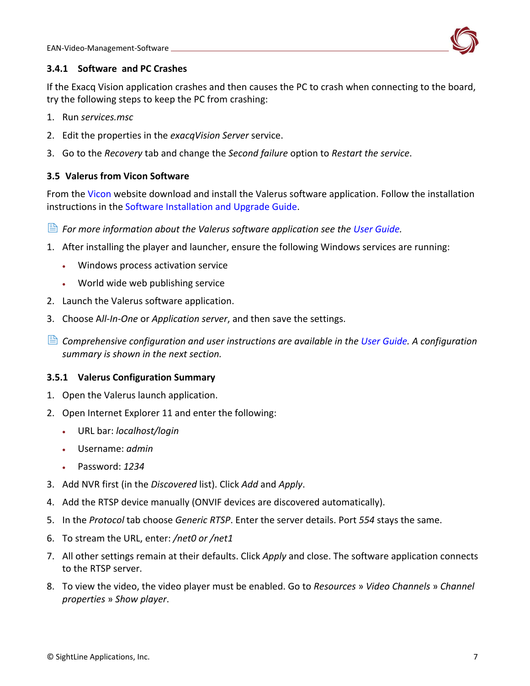

# <span id="page-7-0"></span>**3.4.1 Software and PC Crashes**

If the Exacq Vision application crashes and then causes the PC to crash when connecting to the board, try the following steps to keep the PC from crashing:

- 1. Run *services.msc*
- 2. Edit the properties in the *exacqVision Server* service.
- 3. Go to the *Recovery* tab and change the *Second failure* option to *Restart the service*.

# <span id="page-7-1"></span>**3.5 Valerus from Vicon Software**

From the [Vicon](http://www.vicon-security.com/products/valerus-vms/) website download and install the Valerus software application. Follow the installation instructions in the [Software Installation and Upgrade Guide.](http://www.vicon-security.com/wp-content/uploads/2017/01/Valerus_SW-Install-Guide.pdf)

- *For more information about the Valerus software application see the [User Guide.](http://www.vicon-security.com/wp-content/uploads/2017/03/Valerus-User-Guide.pdf)*
- 1. After installing the player and launcher, ensure the following Windows services are running:
	- Windows process activation service
	- World wide web publishing service
- 2. Launch the Valerus software application.
- 3. Choose A*ll-In-One* or *Application server*, and then save the settings.
- **E** Comprehensive configuration and user instructions are available in the [User Guide.](http://www.vicon-security.com/wp-content/uploads/2017/03/Valerus-User-Guide.pdf) A configuration *summary is shown in the next section.*

# <span id="page-7-2"></span>**3.5.1 Valerus Configuration Summary**

- 1. Open the Valerus launch application.
- 2. Open Internet Explorer 11 and enter the following:
	- URL bar: *localhost/login*
	- Username: *admin*
	- Password: *1234*
- 3. Add NVR first (in the *Discovered* list). Click *Add* and *Apply*.
- 4. Add the RTSP device manually (ONVIF devices are discovered automatically).
- 5. In the *Protocol* tab choose *Generic RTSP*. Enter the server details. Port *554* stays the same.
- 6. To stream the URL, enter: */net0 or /net1*
- 7. All other settings remain at their defaults. Click *Apply* and close. The software application connects to the RTSP server.
- 8. To view the video, the video player must be enabled. Go to *Resources* » *Video Channels* » *Channel properties* » *Show player*.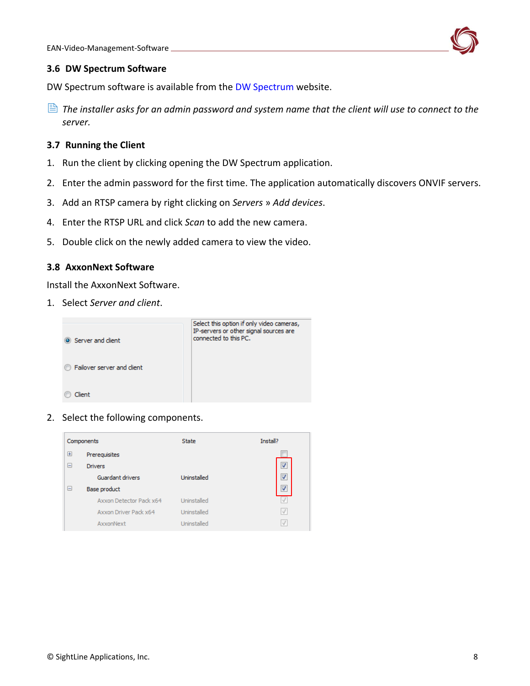

#### <span id="page-8-0"></span>**3.6 DW Spectrum Software**

DW Spectrum software is available from the [DW Spectrum](http://digital-watchdog.com/DW_Spectrum/) website.

 *The installer asks for an admin password and system name that the client will use to connect to the server.*

# <span id="page-8-1"></span>**3.7 Running the Client**

- 1. Run the client by clicking opening the DW Spectrum application.
- 2. Enter the admin password for the first time. The application automatically discovers ONVIF servers.
- 3. Add an RTSP camera by right clicking on *Servers* » *Add devices*.
- 4. Enter the RTSP URL and click *Scan* to add the new camera.
- 5. Double click on the newly added camera to view the video.

## <span id="page-8-2"></span>**3.8 AxxonNext Software**

Install the AxxonNext Software.

1. Select *Server and client*.



2. Select the following components.

| Components |                         | <b>State</b> | Install?                 |
|------------|-------------------------|--------------|--------------------------|
| $\boxplus$ | Prerequisites           |              |                          |
| Ξ          | <b>Drivers</b>          |              | $\overline{\mathcal{A}}$ |
|            | Guardant drivers        | Uninstalled  | $\overline{\mathbf{v}}$  |
| Θ          | <b>Base product</b>     |              | J                        |
|            | Axxon Detector Pack x64 | Uninstalled  |                          |
|            | Axxon Driver Pack x64   | Uninstalled  | $\sqrt{ }$               |
|            | AxxonNext               | Uninstalled  |                          |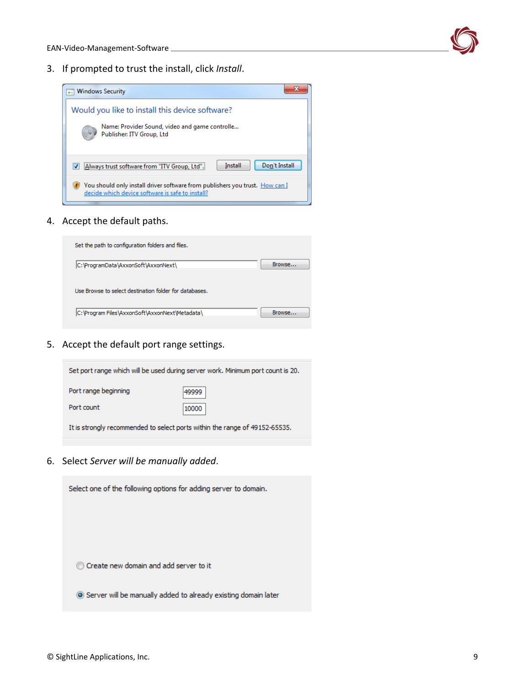

3. If prompted to trust the install, click *Install*.



4. Accept the default paths.



5. Accept the default port range settings.



6. Select *Server will be manually added*.

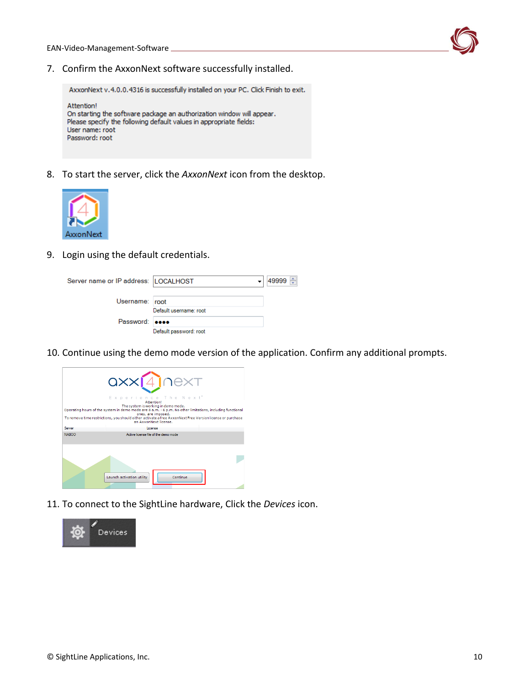

7. Confirm the AxxonNext software successfully installed.

AxxonNext v.4.0.0.4316 is successfully installed on your PC. Click Finish to exit. Attention! On starting the software package an authorization window will appear. Please specify the following default values in appropriate fields: User name: root Password: root

8. To start the server, click the *AxxonNext* icon from the desktop.



9. Login using the default credentials.

| Server name or IP address:  LOCALHOST |                        | 49999 |
|---------------------------------------|------------------------|-------|
| Username: root                        |                        |       |
|                                       | Default username: root |       |
| Password: <b>eeee</b>                 |                        |       |
|                                       | Default password: root |       |

10. Continue using the demo mode version of the application. Confirm any additional prompts.



11. To connect to the SightLine hardware, Click the *Devices* icon.

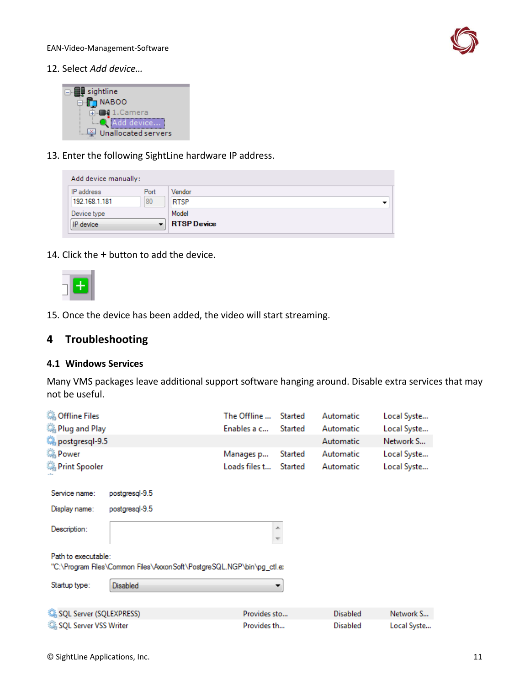

12. Select *Add device…*

| $\Box$ sightline    |  |  |  |  |
|---------------------|--|--|--|--|
|                     |  |  |  |  |
| NABOO<br>⊟          |  |  |  |  |
|                     |  |  |  |  |
| ∎ 1.Camera          |  |  |  |  |
|                     |  |  |  |  |
| Add device          |  |  |  |  |
|                     |  |  |  |  |
| Unallocated servers |  |  |  |  |
|                     |  |  |  |  |

13. Enter the following SightLine hardware IP address.

| Add device manually: |      |                    |  |  |  |  |  |
|----------------------|------|--------------------|--|--|--|--|--|
| IP address           | Port | Vendor             |  |  |  |  |  |
| 192.168.1.181        | 80   | <b>RTSP</b>        |  |  |  |  |  |
| Device type          |      | Model              |  |  |  |  |  |
| IP device            |      | <b>RTSP</b> Device |  |  |  |  |  |

14. Click the + button to add the device.



15. Once the device has been added, the video will start streaming.

# <span id="page-11-0"></span>**4 Troubleshooting**

#### <span id="page-11-1"></span>**4.1 Windows Services**

Many VMS packages leave additional support software hanging around. Disable extra services that may not be useful.

| <b>Offline Files</b>                                                                         |                 | The Offline   | Started         | Automatic   | Local Syste |  |  |  |  |
|----------------------------------------------------------------------------------------------|-----------------|---------------|-----------------|-------------|-------------|--|--|--|--|
| Plug and Play                                                                                |                 | Enables a c   | Started         | Automatic   | Local Syste |  |  |  |  |
| postgresql-9.5                                                                               |                 |               | Automatic       | Network S   |             |  |  |  |  |
| <b>O</b> Power                                                                               |                 | Manages p     | Started         | Automatic   | Local Syste |  |  |  |  |
| Print Spooler                                                                                |                 | Loads files t | Started         | Automatic   | Local Syste |  |  |  |  |
| Service name:                                                                                | postgresgl-9.5  |               |                 |             |             |  |  |  |  |
| Display name:                                                                                | postgresql-9.5  |               |                 |             |             |  |  |  |  |
| Description:                                                                                 |                 |               | 杰               |             |             |  |  |  |  |
| Path to executable:<br>"C:\Program Files\Common Files\AxxonSoft\PostgreSQL.NGP\bin\pg_ctl.e: |                 |               |                 |             |             |  |  |  |  |
| Startup type:                                                                                | <b>Disabled</b> |               |                 |             |             |  |  |  |  |
| SQL Server (SQLEXPRESS)<br>Provides sto<br>Network S<br><b>Disabled</b>                      |                 |               |                 |             |             |  |  |  |  |
| SQL Server VSS Writer                                                                        | Provides th     |               | <b>Disabled</b> | Local Syste |             |  |  |  |  |